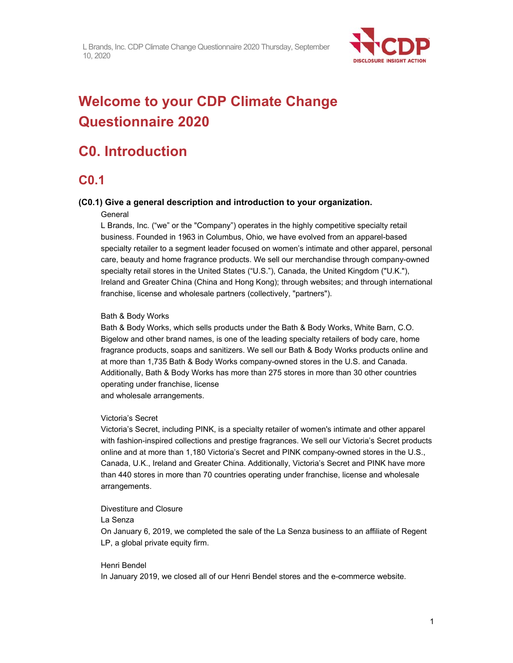

# **Welcome to your CDP Climate Change Questionnaire 2020**

# **C0. Introduction**

### **C0.1**

### **(C0.1) Give a general description and introduction to your organization.**

#### **General**

L Brands, Inc. ("we" or the "Company") operates in the highly competitive specialty retail business. Founded in 1963 in Columbus, Ohio, we have evolved from an apparel-based specialty retailer to a segment leader focused on women's intimate and other apparel, personal care, beauty and home fragrance products. We sell our merchandise through company-owned specialty retail stores in the United States ("U.S."), Canada, the United Kingdom ("U.K."), Ireland and Greater China (China and Hong Kong); through websites; and through international franchise, license and wholesale partners (collectively, "partners").

### Bath & Body Works

Bath & Body Works, which sells products under the Bath & Body Works, White Barn, C.O. Bigelow and other brand names, is one of the leading specialty retailers of body care, home fragrance products, soaps and sanitizers. We sell our Bath & Body Works products online and at more than 1,735 Bath & Body Works company-owned stores in the U.S. and Canada. Additionally, Bath & Body Works has more than 275 stores in more than 30 other countries operating under franchise, license

and wholesale arrangements.

### Victoria's Secret

Victoria's Secret, including PINK, is a specialty retailer of women's intimate and other apparel with fashion-inspired collections and prestige fragrances. We sell our Victoria's Secret products online and at more than 1,180 Victoria's Secret and PINK company-owned stores in the U.S., Canada, U.K., Ireland and Greater China. Additionally, Victoria's Secret and PINK have more than 440 stores in more than 70 countries operating under franchise, license and wholesale arrangements.

#### Divestiture and Closure

#### La Senza

On January 6, 2019, we completed the sale of the La Senza business to an affiliate of Regent LP, a global private equity firm.

### Henri Bendel

In January 2019, we closed all of our Henri Bendel stores and the e-commerce website.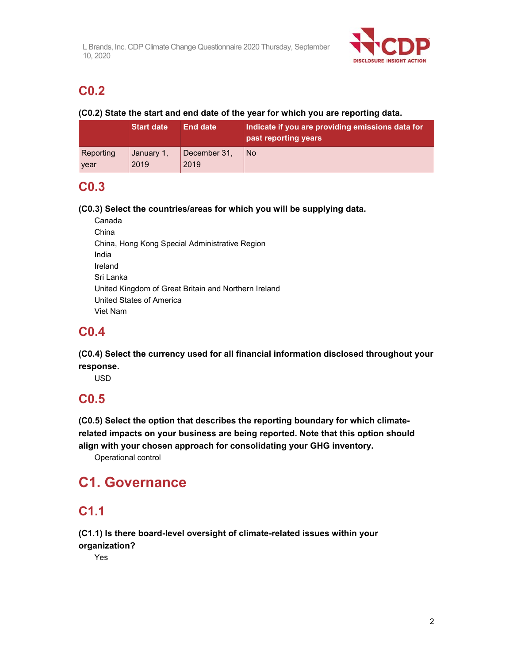

# **C0.2**

### **(C0.2) State the start and end date of the year for which you are reporting data.**

|           | <b>Start date</b> | <b>End date</b> | Indicate if you are providing emissions data for<br>past reporting years |
|-----------|-------------------|-----------------|--------------------------------------------------------------------------|
| Reporting | January 1,        | December 31,    | <b>No</b>                                                                |
| vear      | 2019              | 2019            |                                                                          |

# **C0.3**

### **(C0.3) Select the countries/areas for which you will be supplying data.**

Canada China China, Hong Kong Special Administrative Region India Ireland Sri Lanka United Kingdom of Great Britain and Northern Ireland United States of America Viet Nam

# **C0.4**

**(C0.4) Select the currency used for all financial information disclosed throughout your response.** 

USD

# **C0.5**

**(C0.5) Select the option that describes the reporting boundary for which climaterelated impacts on your business are being reported. Note that this option should align with your chosen approach for consolidating your GHG inventory.** 

Operational control

# **C1. Governance**

# **C1.1**

**(C1.1) Is there board-level oversight of climate-related issues within your organization?** 

Yes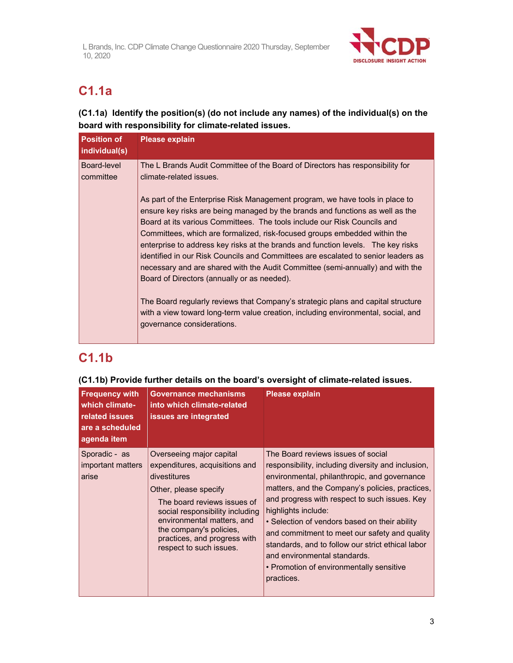

# **C1.1a**

### **(C1.1a) Identify the position(s) (do not include any names) of the individual(s) on the board with responsibility for climate-related issues.**

| <b>Position of</b><br>individual(s) | <b>Please explain</b>                                                                                                                                                                                                                                                                                                                                                                                                                                                                                                                                                                                                            |
|-------------------------------------|----------------------------------------------------------------------------------------------------------------------------------------------------------------------------------------------------------------------------------------------------------------------------------------------------------------------------------------------------------------------------------------------------------------------------------------------------------------------------------------------------------------------------------------------------------------------------------------------------------------------------------|
| Board-level<br>committee            | The L Brands Audit Committee of the Board of Directors has responsibility for<br>climate-related issues.                                                                                                                                                                                                                                                                                                                                                                                                                                                                                                                         |
|                                     | As part of the Enterprise Risk Management program, we have tools in place to<br>ensure key risks are being managed by the brands and functions as well as the<br>Board at its various Committees. The tools include our Risk Councils and<br>Committees, which are formalized, risk-focused groups embedded within the<br>enterprise to address key risks at the brands and function levels. The key risks<br>identified in our Risk Councils and Committees are escalated to senior leaders as<br>necessary and are shared with the Audit Committee (semi-annually) and with the<br>Board of Directors (annually or as needed). |
|                                     | The Board regularly reviews that Company's strategic plans and capital structure<br>with a view toward long-term value creation, including environmental, social, and<br>governance considerations.                                                                                                                                                                                                                                                                                                                                                                                                                              |

# **C1.1b**

### **(C1.1b) Provide further details on the board's oversight of climate-related issues.**

| <b>Frequency with</b><br>which climate-<br>related issues<br>are a scheduled<br>agenda item | <b>Governance mechanisms</b><br>into which climate-related<br>issues are integrated                                                                                                                                                                                                       | <b>Please explain</b>                                                                                                                                                                                                                                                                                                                                                                                                                                                                                                |
|---------------------------------------------------------------------------------------------|-------------------------------------------------------------------------------------------------------------------------------------------------------------------------------------------------------------------------------------------------------------------------------------------|----------------------------------------------------------------------------------------------------------------------------------------------------------------------------------------------------------------------------------------------------------------------------------------------------------------------------------------------------------------------------------------------------------------------------------------------------------------------------------------------------------------------|
| Sporadic - as<br>important matters<br>arise                                                 | Overseeing major capital<br>expenditures, acquisitions and<br>divestitures<br>Other, please specify<br>The board reviews issues of<br>social responsibility including<br>environmental matters, and<br>the company's policies,<br>practices, and progress with<br>respect to such issues. | The Board reviews issues of social<br>responsibility, including diversity and inclusion,<br>environmental, philanthropic, and governance<br>matters, and the Company's policies, practices,<br>and progress with respect to such issues. Key<br>highlights include:<br>• Selection of vendors based on their ability<br>and commitment to meet our safety and quality<br>standards, and to follow our strict ethical labor<br>and environmental standards.<br>• Promotion of environmentally sensitive<br>practices. |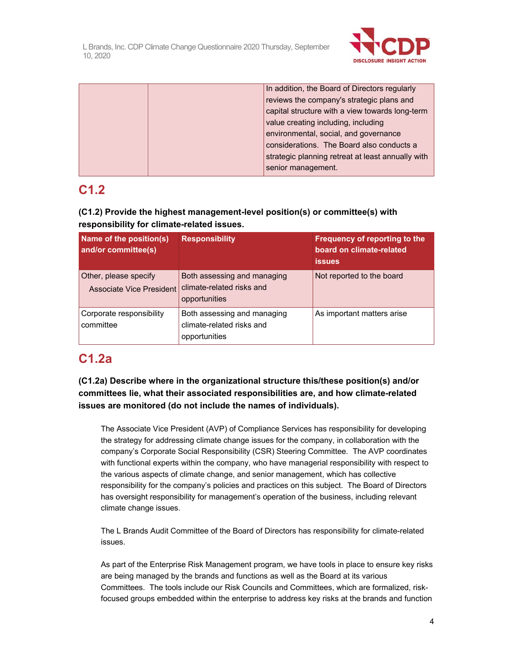

|  | In addition, the Board of Directors regularly     |
|--|---------------------------------------------------|
|  | reviews the company's strategic plans and         |
|  | capital structure with a view towards long-term   |
|  | value creating including, including               |
|  | environmental, social, and governance             |
|  | considerations. The Board also conducts a         |
|  | strategic planning retreat at least annually with |
|  | senior management.                                |

# **C1.2**

### **(C1.2) Provide the highest management-level position(s) or committee(s) with responsibility for climate-related issues.**

| Name of the position(s)<br>and/or committee(s)           | <b>Responsibility</b>                                                     | Frequency of reporting to the<br>board on climate-related<br><b>issues</b> |
|----------------------------------------------------------|---------------------------------------------------------------------------|----------------------------------------------------------------------------|
| Other, please specify<br><b>Associate Vice President</b> | Both assessing and managing<br>climate-related risks and<br>opportunities | Not reported to the board                                                  |
| Corporate responsibility<br>committee                    | Both assessing and managing<br>climate-related risks and<br>opportunities | As important matters arise                                                 |

# **C1.2a**

**(C1.2a) Describe where in the organizational structure this/these position(s) and/or committees lie, what their associated responsibilities are, and how climate-related issues are monitored (do not include the names of individuals).**

The Associate Vice President (AVP) of Compliance Services has responsibility for developing the strategy for addressing climate change issues for the company, in collaboration with the company's Corporate Social Responsibility (CSR) Steering Committee. The AVP coordinates with functional experts within the company, who have managerial responsibility with respect to the various aspects of climate change, and senior management, which has collective responsibility for the company's policies and practices on this subject. The Board of Directors has oversight responsibility for management's operation of the business, including relevant climate change issues.

The L Brands Audit Committee of the Board of Directors has responsibility for climate-related issues.

As part of the Enterprise Risk Management program, we have tools in place to ensure key risks are being managed by the brands and functions as well as the Board at its various Committees. The tools include our Risk Councils and Committees, which are formalized, riskfocused groups embedded within the enterprise to address key risks at the brands and function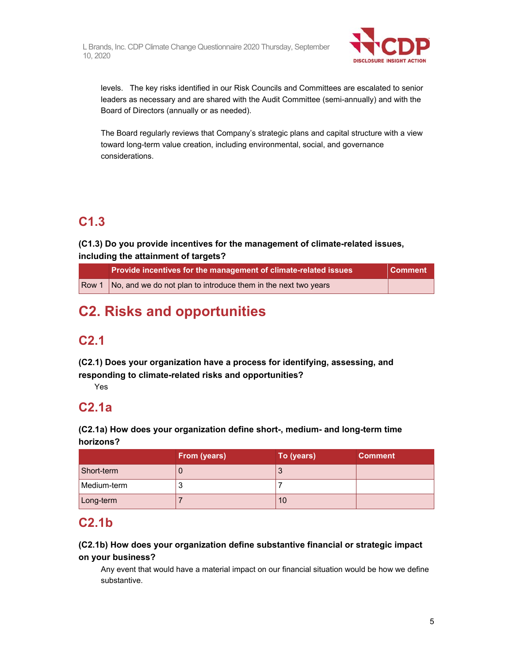

levels. The key risks identified in our Risk Councils and Committees are escalated to senior leaders as necessary and are shared with the Audit Committee (semi-annually) and with the Board of Directors (annually or as needed).

The Board regularly reviews that Company's strategic plans and capital structure with a view toward long-term value creation, including environmental, social, and governance considerations.

# **C1.3**

### **(C1.3) Do you provide incentives for the management of climate-related issues, including the attainment of targets?**

| Provide incentives for the management of climate-related issues                     | <b>Comment</b> |
|-------------------------------------------------------------------------------------|----------------|
| $\sqrt{\frac{1}{1}}$ No, and we do not plan to introduce them in the next two years |                |

# **C2. Risks and opportunities**

# **C2.1**

**(C2.1) Does your organization have a process for identifying, assessing, and responding to climate-related risks and opportunities?** 

Yes

# **C2.1a**

**(C2.1a) How does your organization define short-, medium- and long-term time horizons?** 

|             | From (years) | To (years) | <b>Comment</b> |
|-------------|--------------|------------|----------------|
| Short-term  |              | J          |                |
| Medium-term |              |            |                |
| Long-term   |              | 10         |                |

## **C2.1b**

### **(C2.1b) How does your organization define substantive financial or strategic impact on your business?**

Any event that would have a material impact on our financial situation would be how we define substantive.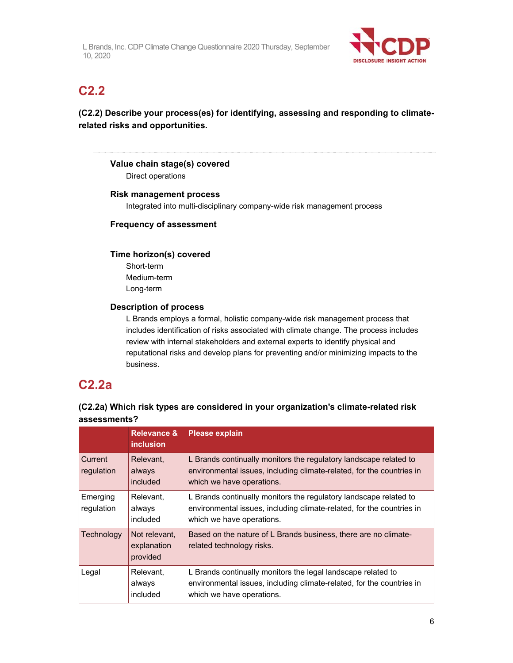

# **C2.2**

### **(C2.2) Describe your process(es) for identifying, assessing and responding to climaterelated risks and opportunities.**

### **Value chain stage(s) covered**

Direct operations

#### **Risk management process**

Integrated into multi-disciplinary company-wide risk management process

#### **Frequency of assessment**

#### **Time horizon(s) covered**

Short-term Medium-term Long-term

#### **Description of process**

L Brands employs a formal, holistic company-wide risk management process that includes identification of risks associated with climate change. The process includes review with internal stakeholders and external experts to identify physical and reputational risks and develop plans for preventing and/or minimizing impacts to the business.

### **C2.2a**

|                        | <b>Relevance &amp;</b><br><i>inclusion</i> | <b>Please explain</b>                                                                                                                                                   |
|------------------------|--------------------------------------------|-------------------------------------------------------------------------------------------------------------------------------------------------------------------------|
| Current<br>regulation  | Relevant,<br>always<br>included            | L Brands continually monitors the regulatory landscape related to<br>environmental issues, including climate-related, for the countries in<br>which we have operations. |
| Emerging<br>regulation | Relevant,<br>always<br>included            | L Brands continually monitors the regulatory landscape related to<br>environmental issues, including climate-related, for the countries in<br>which we have operations. |
| Technology             | Not relevant.<br>explanation<br>provided   | Based on the nature of L Brands business, there are no climate-<br>related technology risks.                                                                            |
| Legal                  | Relevant,<br>always<br>included            | L Brands continually monitors the legal landscape related to<br>environmental issues, including climate-related, for the countries in<br>which we have operations.      |

### **(C2.2a) Which risk types are considered in your organization's climate-related risk assessments?**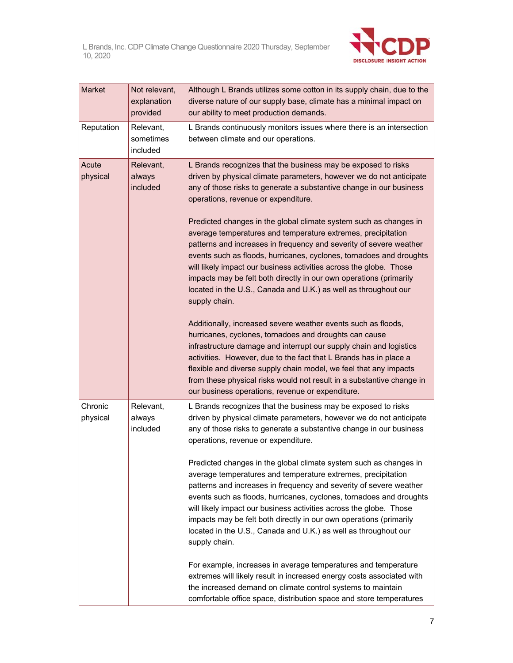

| Market              | Not relevant,<br>explanation<br>provided | Although L Brands utilizes some cotton in its supply chain, due to the<br>diverse nature of our supply base, climate has a minimal impact on<br>our ability to meet production demands.                                                                                                                                                                                                                                                                                                                                                                                                                                                                                                                                                                                                                                                                                                                                                                                                                                                                                                                                                                                                                                                      |
|---------------------|------------------------------------------|----------------------------------------------------------------------------------------------------------------------------------------------------------------------------------------------------------------------------------------------------------------------------------------------------------------------------------------------------------------------------------------------------------------------------------------------------------------------------------------------------------------------------------------------------------------------------------------------------------------------------------------------------------------------------------------------------------------------------------------------------------------------------------------------------------------------------------------------------------------------------------------------------------------------------------------------------------------------------------------------------------------------------------------------------------------------------------------------------------------------------------------------------------------------------------------------------------------------------------------------|
| Reputation          | Relevant,<br>sometimes<br>included       | L Brands continuously monitors issues where there is an intersection<br>between climate and our operations.                                                                                                                                                                                                                                                                                                                                                                                                                                                                                                                                                                                                                                                                                                                                                                                                                                                                                                                                                                                                                                                                                                                                  |
| Acute<br>physical   | Relevant,<br>always<br>included          | L Brands recognizes that the business may be exposed to risks<br>driven by physical climate parameters, however we do not anticipate<br>any of those risks to generate a substantive change in our business<br>operations, revenue or expenditure.<br>Predicted changes in the global climate system such as changes in<br>average temperatures and temperature extremes, precipitation<br>patterns and increases in frequency and severity of severe weather<br>events such as floods, hurricanes, cyclones, tornadoes and droughts<br>will likely impact our business activities across the globe. Those<br>impacts may be felt both directly in our own operations (primarily<br>located in the U.S., Canada and U.K.) as well as throughout our<br>supply chain.<br>Additionally, increased severe weather events such as floods,<br>hurricanes, cyclones, tornadoes and droughts can cause<br>infrastructure damage and interrupt our supply chain and logistics<br>activities. However, due to the fact that L Brands has in place a<br>flexible and diverse supply chain model, we feel that any impacts<br>from these physical risks would not result in a substantive change in<br>our business operations, revenue or expenditure. |
| Chronic<br>physical | Relevant,<br>always<br>included          | L Brands recognizes that the business may be exposed to risks<br>driven by physical climate parameters, however we do not anticipate<br>any of those risks to generate a substantive change in our business<br>operations, revenue or expenditure.<br>Predicted changes in the global climate system such as changes in<br>average temperatures and temperature extremes, precipitation<br>patterns and increases in frequency and severity of severe weather<br>events such as floods, hurricanes, cyclones, tornadoes and droughts<br>will likely impact our business activities across the globe. Those<br>impacts may be felt both directly in our own operations (primarily<br>located in the U.S., Canada and U.K.) as well as throughout our<br>supply chain.<br>For example, increases in average temperatures and temperature<br>extremes will likely result in increased energy costs associated with<br>the increased demand on climate control systems to maintain<br>comfortable office space, distribution space and store temperatures                                                                                                                                                                                        |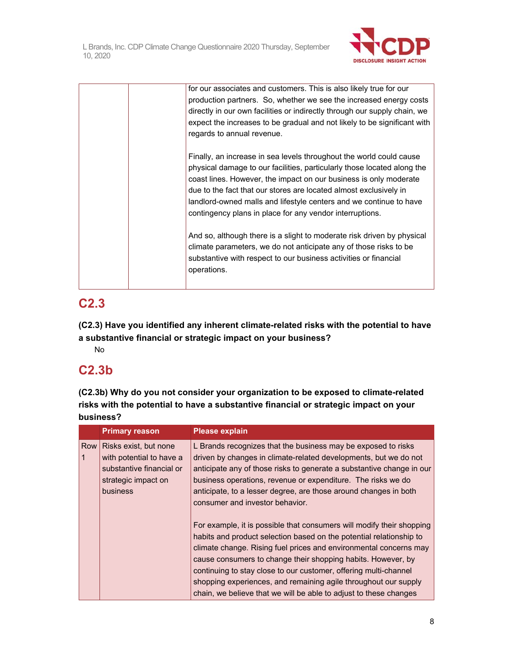

|  | for our associates and customers. This is also likely true for our<br>production partners. So, whether we see the increased energy costs<br>directly in our own facilities or indirectly through our supply chain, we<br>expect the increases to be gradual and not likely to be significant with<br>regards to annual revenue.                                                                                            |
|--|----------------------------------------------------------------------------------------------------------------------------------------------------------------------------------------------------------------------------------------------------------------------------------------------------------------------------------------------------------------------------------------------------------------------------|
|  | Finally, an increase in sea levels throughout the world could cause<br>physical damage to our facilities, particularly those located along the<br>coast lines. However, the impact on our business is only moderate<br>due to the fact that our stores are located almost exclusively in<br>landlord-owned malls and lifestyle centers and we continue to have<br>contingency plans in place for any vendor interruptions. |
|  | And so, although there is a slight to moderate risk driven by physical<br>climate parameters, we do not anticipate any of those risks to be<br>substantive with respect to our business activities or financial<br>operations.                                                                                                                                                                                             |

# **C2.3**

**(C2.3) Have you identified any inherent climate-related risks with the potential to have a substantive financial or strategic impact on your business?** 

No

# **C2.3b**

**(C2.3b) Why do you not consider your organization to be exposed to climate-related risks with the potential to have a substantive financial or strategic impact on your business?** 

|     | <b>Primary reason</b>                                                                                                   | <b>Please explain</b>                                                                                                                                                                                                                                                                                                                                                                                                                                                                         |
|-----|-------------------------------------------------------------------------------------------------------------------------|-----------------------------------------------------------------------------------------------------------------------------------------------------------------------------------------------------------------------------------------------------------------------------------------------------------------------------------------------------------------------------------------------------------------------------------------------------------------------------------------------|
| Row | Risks exist, but none<br>with potential to have a<br>substantive financial or<br>strategic impact on<br><b>business</b> | L Brands recognizes that the business may be exposed to risks<br>driven by changes in climate-related developments, but we do not<br>anticipate any of those risks to generate a substantive change in our<br>business operations, revenue or expenditure. The risks we do<br>anticipate, to a lesser degree, are those around changes in both<br>consumer and investor behavior.                                                                                                             |
|     |                                                                                                                         | For example, it is possible that consumers will modify their shopping<br>habits and product selection based on the potential relationship to<br>climate change. Rising fuel prices and environmental concerns may<br>cause consumers to change their shopping habits. However, by<br>continuing to stay close to our customer, offering multi-channel<br>shopping experiences, and remaining agile throughout our supply<br>chain, we believe that we will be able to adjust to these changes |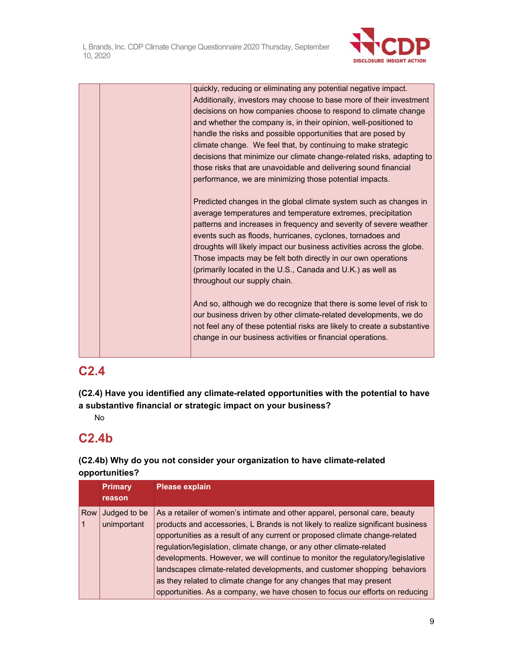

|  | quickly, reducing or eliminating any potential negative impact.          |
|--|--------------------------------------------------------------------------|
|  | Additionally, investors may choose to base more of their investment      |
|  | decisions on how companies choose to respond to climate change           |
|  | and whether the company is, in their opinion, well-positioned to         |
|  | handle the risks and possible opportunities that are posed by            |
|  | climate change. We feel that, by continuing to make strategic            |
|  | decisions that minimize our climate change-related risks, adapting to    |
|  | those risks that are unavoidable and delivering sound financial          |
|  | performance, we are minimizing those potential impacts.                  |
|  |                                                                          |
|  | Predicted changes in the global climate system such as changes in        |
|  | average temperatures and temperature extremes, precipitation             |
|  | patterns and increases in frequency and severity of severe weather       |
|  | events such as floods, hurricanes, cyclones, tornadoes and               |
|  | droughts will likely impact our business activities across the globe.    |
|  | Those impacts may be felt both directly in our own operations            |
|  | (primarily located in the U.S., Canada and U.K.) as well as              |
|  | throughout our supply chain.                                             |
|  | And so, although we do recognize that there is some level of risk to     |
|  | our business driven by other climate-related developments, we do         |
|  | not feel any of these potential risks are likely to create a substantive |
|  | change in our business activities or financial operations.               |
|  |                                                                          |

# **C2.4**

**(C2.4) Have you identified any climate-related opportunities with the potential to have a substantive financial or strategic impact on your business?** 

No

# **C2.4b**

### **(C2.4b) Why do you not consider your organization to have climate-related opportunities?**

|     | <b>Primary</b> | <b>Please explain</b>                                                            |  |
|-----|----------------|----------------------------------------------------------------------------------|--|
|     | reason         |                                                                                  |  |
| Row | Judged to be   | As a retailer of women's intimate and other apparel, personal care, beauty       |  |
|     | unimportant    | products and accessories, L Brands is not likely to realize significant business |  |
|     |                | opportunities as a result of any current or proposed climate change-related      |  |
|     |                | regulation/legislation, climate change, or any other climate-related             |  |
|     |                | developments. However, we will continue to monitor the regulatory/legislative    |  |
|     |                | landscapes climate-related developments, and customer shopping behaviors         |  |
|     |                | as they related to climate change for any changes that may present               |  |
|     |                | opportunities. As a company, we have chosen to focus our efforts on reducing     |  |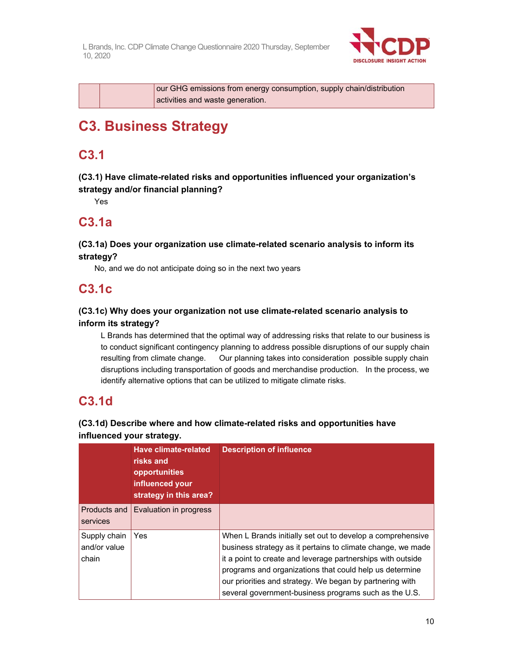

|  | our GHG emissions from energy consumption, supply chain/distribution |
|--|----------------------------------------------------------------------|
|  | activities and waste generation.                                     |

# **C3. Business Strategy**

# **C3.1**

**(C3.1) Have climate-related risks and opportunities influenced your organization's strategy and/or financial planning?** 

Yes

# **C3.1a**

### **(C3.1a) Does your organization use climate-related scenario analysis to inform its strategy?**

No, and we do not anticipate doing so in the next two years

# **C3.1c**

### **(C3.1c) Why does your organization not use climate-related scenario analysis to inform its strategy?**

L Brands has determined that the optimal way of addressing risks that relate to our business is to conduct significant contingency planning to address possible disruptions of our supply chain resulting from climate change. Our planning takes into consideration possible supply chain disruptions including transportation of goods and merchandise production. In the process, we identify alternative options that can be utilized to mitigate climate risks.

# **C3.1d**

### **(C3.1d) Describe where and how climate-related risks and opportunities have influenced your strategy.**

|                                       | Have climate-related<br>risks and<br>opportunities<br>influenced your<br>strategy in this area? | <b>Description of influence</b>                                                                                                                                                                                                                                                                                                                                          |
|---------------------------------------|-------------------------------------------------------------------------------------------------|--------------------------------------------------------------------------------------------------------------------------------------------------------------------------------------------------------------------------------------------------------------------------------------------------------------------------------------------------------------------------|
| Products and<br>services              | Evaluation in progress                                                                          |                                                                                                                                                                                                                                                                                                                                                                          |
| Supply chain<br>and/or value<br>chain | Yes                                                                                             | When L Brands initially set out to develop a comprehensive<br>business strategy as it pertains to climate change, we made<br>it a point to create and leverage partnerships with outside<br>programs and organizations that could help us determine<br>our priorities and strategy. We began by partnering with<br>several government-business programs such as the U.S. |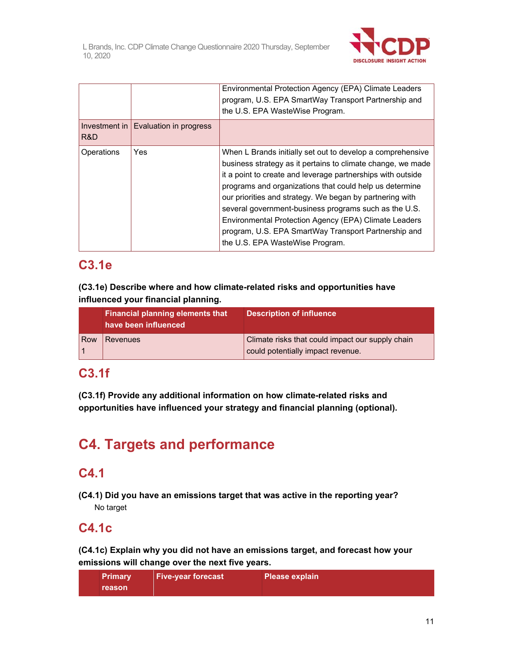

|                              |                        | Environmental Protection Agency (EPA) Climate Leaders<br>program, U.S. EPA SmartWay Transport Partnership and<br>the U.S. EPA WasteWise Program.                                                                                                                                                                                                                                                                                                                                                                             |
|------------------------------|------------------------|------------------------------------------------------------------------------------------------------------------------------------------------------------------------------------------------------------------------------------------------------------------------------------------------------------------------------------------------------------------------------------------------------------------------------------------------------------------------------------------------------------------------------|
| Investment in $\vert$<br>R&D | Evaluation in progress |                                                                                                                                                                                                                                                                                                                                                                                                                                                                                                                              |
| Operations                   | Yes                    | When L Brands initially set out to develop a comprehensive<br>business strategy as it pertains to climate change, we made<br>it a point to create and leverage partnerships with outside<br>programs and organizations that could help us determine<br>our priorities and strategy. We began by partnering with<br>several government-business programs such as the U.S.<br>Environmental Protection Agency (EPA) Climate Leaders<br>program, U.S. EPA SmartWay Transport Partnership and<br>the U.S. EPA WasteWise Program. |

# **C3.1e**

**(C3.1e) Describe where and how climate-related risks and opportunities have influenced your financial planning.** 

|     | <b>Financial planning elements that</b><br>have been influenced | <b>Description of influence</b>                                                       |
|-----|-----------------------------------------------------------------|---------------------------------------------------------------------------------------|
| Row | <b>Revenues</b>                                                 | Climate risks that could impact our supply chain<br>could potentially impact revenue. |

## **C3.1f**

**(C3.1f) Provide any additional information on how climate-related risks and opportunities have influenced your strategy and financial planning (optional).** 

# **C4. Targets and performance**

# **C4.1**

**(C4.1) Did you have an emissions target that was active in the reporting year?**  No target

# **C4.1c**

**(C4.1c) Explain why you did not have an emissions target, and forecast how your emissions will change over the next five years.** 

| <b>Primary</b> | <b>Five-year forecast</b> | ∣ Please explain <sup>i</sup> |
|----------------|---------------------------|-------------------------------|
| reason         |                           |                               |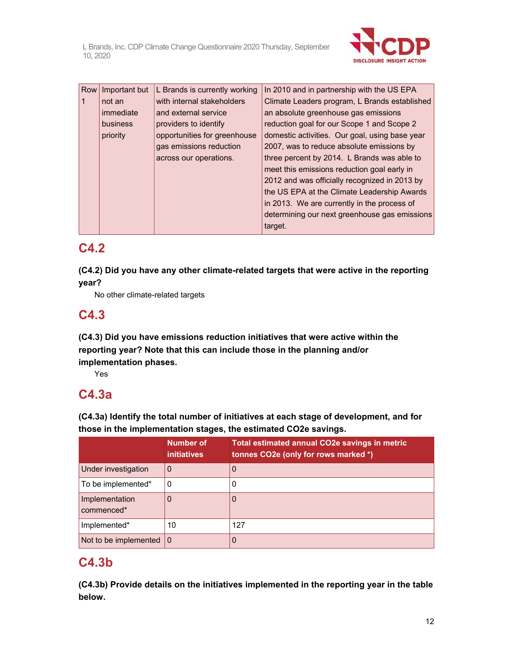

| Row | Important but | L Brands is currently working | In 2010 and in partnership with the US EPA     |
|-----|---------------|-------------------------------|------------------------------------------------|
|     | not an        | with internal stakeholders    | Climate Leaders program, L Brands established  |
|     | immediate     | and external service          | an absolute greenhouse gas emissions           |
|     | business      | providers to identify         | reduction goal for our Scope 1 and Scope 2     |
|     | priority      | opportunities for greenhouse  | domestic activities. Our goal, using base year |
|     |               | gas emissions reduction       | 2007, was to reduce absolute emissions by      |
|     |               | across our operations.        | three percent by 2014. L Brands was able to    |
|     |               |                               | meet this emissions reduction goal early in    |
|     |               |                               | 2012 and was officially recognized in 2013 by  |
|     |               |                               | the US EPA at the Climate Leadership Awards    |
|     |               |                               | in 2013. We are currently in the process of    |
|     |               |                               | determining our next greenhouse gas emissions  |
|     |               |                               | target.                                        |

# **C4.2**

**(C4.2) Did you have any other climate-related targets that were active in the reporting year?** 

No other climate-related targets

# **C4.3**

**(C4.3) Did you have emissions reduction initiatives that were active within the reporting year? Note that this can include those in the planning and/or implementation phases.** 

Yes

## **C4.3a**

**(C4.3a) Identify the total number of initiatives at each stage of development, and for those in the implementation stages, the estimated CO2e savings.**

|                                   | <b>Number of</b><br><i>initiatives</i> | <b>Total estimated annual CO2e savings in metric</b><br>tonnes CO2e (only for rows marked *) |
|-----------------------------------|----------------------------------------|----------------------------------------------------------------------------------------------|
| Under investigation               | 0                                      | 0                                                                                            |
| To be implemented*                | 0                                      | 0                                                                                            |
| Implementation<br>commenced*      |                                        | 0                                                                                            |
| Implemented*                      | 10                                     | 127                                                                                          |
| Not to be implemented $ 0\rangle$ |                                        | 0                                                                                            |

# **C4.3b**

**(C4.3b) Provide details on the initiatives implemented in the reporting year in the table below.**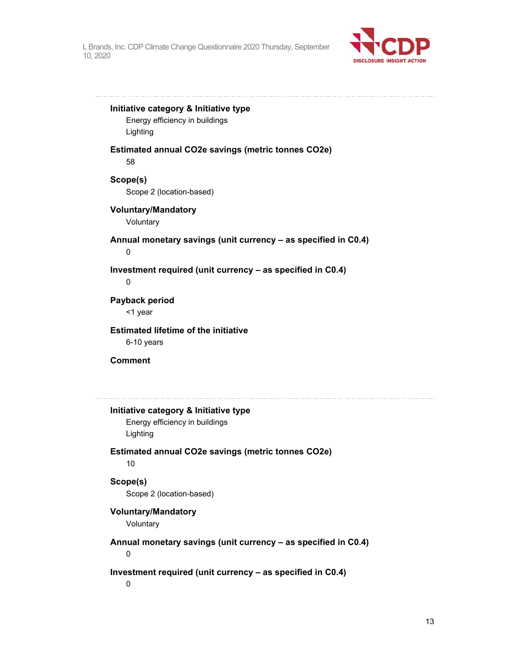

**Initiative category & Initiative type** 

Energy efficiency in buildings Lighting

**Estimated annual CO2e savings (metric tonnes CO2e)**  58

**Scope(s)**  Scope 2 (location-based)

#### **Voluntary/Mandatory**

Voluntary

**Annual monetary savings (unit currency – as specified in C0.4)** 

0

**Investment required (unit currency – as specified in C0.4)** 

0

**Payback period**  <1 year

**Estimated lifetime of the initiative**  6-10 years

**Comment** 

**Initiative category & Initiative type**  Energy efficiency in buildings

Lighting

**Estimated annual CO2e savings (metric tonnes CO2e)**  10

### **Scope(s)**

Scope 2 (location-based)

**Voluntary/Mandatory** 

Voluntary

**Annual monetary savings (unit currency – as specified in C0.4)** 

0

**Investment required (unit currency – as specified in C0.4)** 

0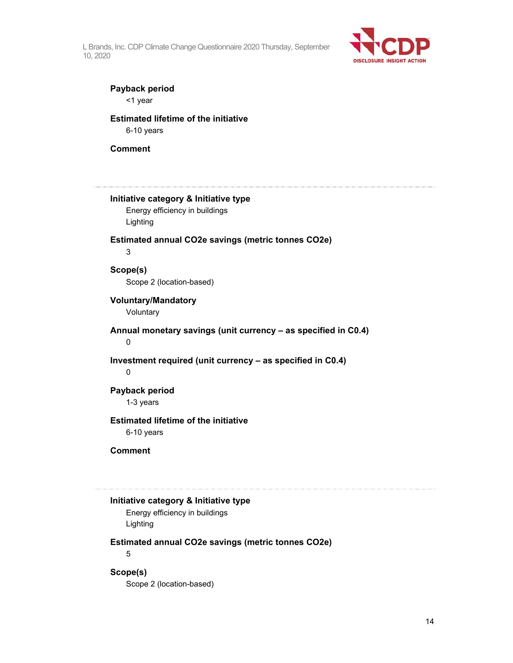

### **Payback period**

<1 year

#### **Estimated lifetime of the initiative**  6-10 years

#### **Comment**

**Initiative category & Initiative type**  Energy efficiency in buildings Lighting **Estimated annual CO2e savings (metric tonnes CO2e)**  3 **Scope(s)**  Scope 2 (location-based) **Voluntary/Mandatory**  Voluntary **Annual monetary savings (unit currency – as specified in C0.4)**  0 **Investment required (unit currency – as specified in C0.4)**  0 **Payback period**  1-3 years **Estimated lifetime of the initiative**  6-10 years **Comment Initiative category & Initiative type**  Energy efficiency in buildings

# Lighting

**Estimated annual CO2e savings (metric tonnes CO2e)** 

5

### **Scope(s)**

Scope 2 (location-based)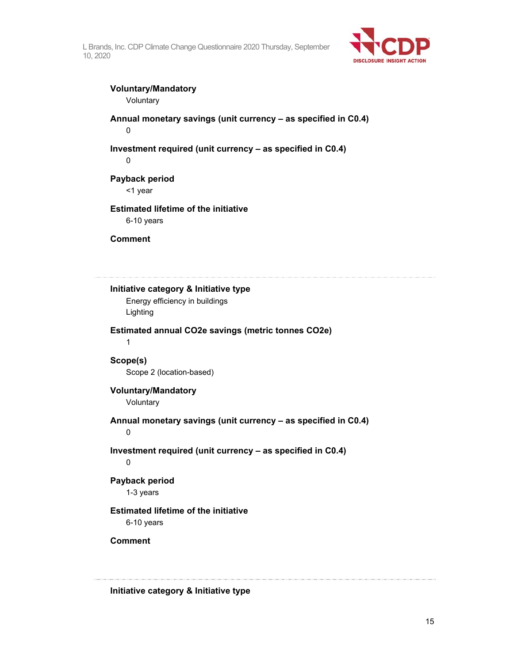

### **Voluntary/Mandatory**

Voluntary

**Annual monetary savings (unit currency – as specified in C0.4)**  0

### **Investment required (unit currency – as specified in C0.4)**

0

### **Payback period**

<1 year

### **Estimated lifetime of the initiative**

6-10 years

**Comment** 

**Initiative category & Initiative type**  Energy efficiency in buildings Lighting **Estimated annual CO2e savings (metric tonnes CO2e)**  1 **Scope(s)**  Scope 2 (location-based) **Voluntary/Mandatory**  Voluntary **Annual monetary savings (unit currency – as specified in C0.4)**  0

**Investment required (unit currency – as specified in C0.4)** 

 $\Omega$ 

### **Payback period**

1-3 years

### **Estimated lifetime of the initiative**

6-10 years

### **Comment**

**Initiative category & Initiative type**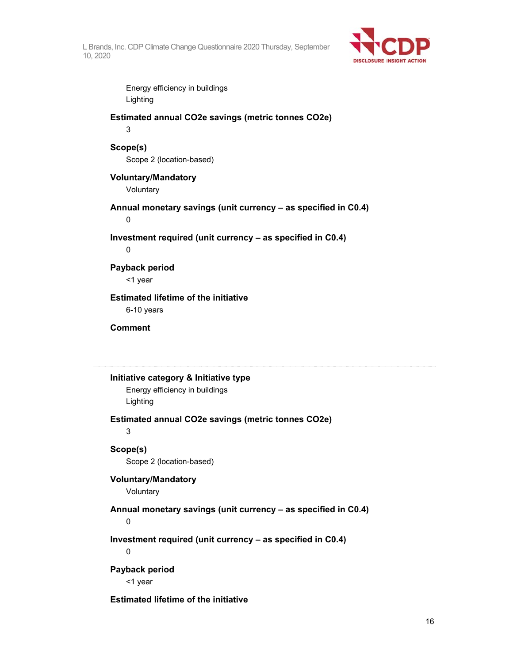

Energy efficiency in buildings Lighting

# **Estimated annual CO2e savings (metric tonnes CO2e)**

3

### **Scope(s)**

Scope 2 (location-based)

### **Voluntary/Mandatory Voluntary**

**Annual monetary savings (unit currency – as specified in C0.4)** 

0

**Investment required (unit currency – as specified in C0.4)** 

0

### **Payback period**

<1 year

# **Estimated lifetime of the initiative**

6-10 years

#### **Comment**

### **Initiative category & Initiative type**

Energy efficiency in buildings Lighting

### **Estimated annual CO2e savings (metric tonnes CO2e)**

3

### **Scope(s)**

Scope 2 (location-based)

### **Voluntary/Mandatory**  Voluntary

### **Annual monetary savings (unit currency – as specified in C0.4)**

0

**Investment required (unit currency – as specified in C0.4)** 

0

### **Payback period**

<1 year

### **Estimated lifetime of the initiative**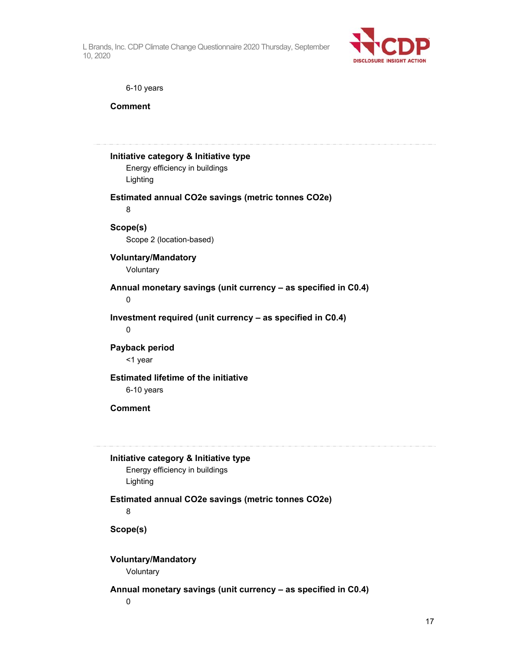

6-10 years

**Comment** 

| Initiative category & Initiative type<br>Energy efficiency in buildings             |
|-------------------------------------------------------------------------------------|
| Lighting                                                                            |
| Estimated annual CO2e savings (metric tonnes CO2e)<br>8                             |
| Scope(s)<br>Scope 2 (location-based)                                                |
| <b>Voluntary/Mandatory</b><br>Voluntary                                             |
| Annual monetary savings (unit currency - as specified in C0.4)<br>0                 |
| Investment required (unit currency - as specified in C0.4)<br>$\mathbf 0$           |
| Payback period<br><1 year                                                           |
| <b>Estimated lifetime of the initiative</b><br>6-10 years                           |
| <b>Comment</b>                                                                      |
| Initiative category & Initiative type<br>Energy efficiency in buildings<br>Lighting |
| Estimated annual CO2e savings (metric tonnes CO2e)<br>8                             |
| Scope(s)                                                                            |
| <b>Voluntary/Mandatory</b><br>Voluntary                                             |
| Annual monetary savings (unit currency - as specified in C0.4)<br>0                 |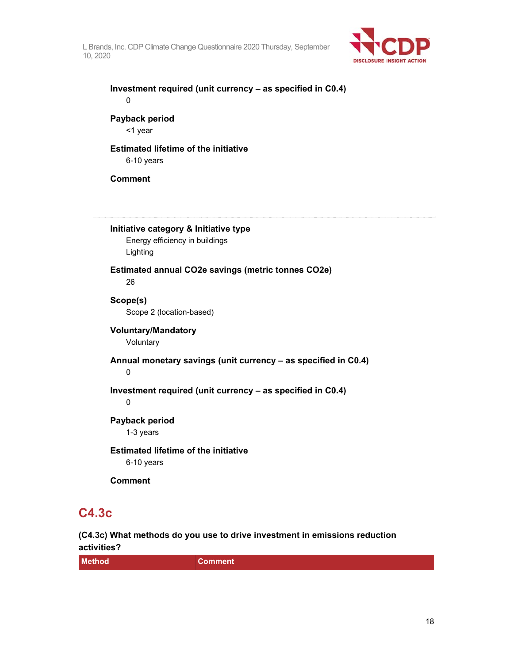

**Investment required (unit currency – as specified in C0.4)**  0

**Payback period**  <1 year

### **Estimated lifetime of the initiative**  6-10 years

**Comment** 

**Initiative category & Initiative type**  Energy efficiency in buildings Lighting **Estimated annual CO2e savings (metric tonnes CO2e)**  26 **Scope(s)**  Scope 2 (location-based) **Voluntary/Mandatory**  Voluntary **Annual monetary savings (unit currency – as specified in C0.4)**  0 **Investment required (unit currency – as specified in C0.4)**  0 **Payback period**  1-3 years **Estimated lifetime of the initiative**  6-10 years **Comment** 

## **C4.3c**

**(C4.3c) What methods do you use to drive investment in emissions reduction activities?** 

| <b>Method</b><br><b>Comment</b> |  |
|---------------------------------|--|
|---------------------------------|--|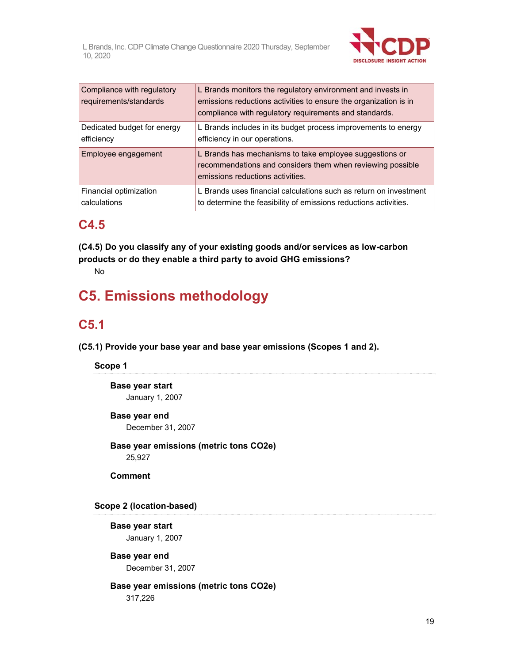

| Compliance with regulatory<br>requirements/standards | L Brands monitors the regulatory environment and invests in<br>emissions reductions activities to ensure the organization is in<br>compliance with regulatory requirements and standards. |
|------------------------------------------------------|-------------------------------------------------------------------------------------------------------------------------------------------------------------------------------------------|
| Dedicated budget for energy                          | L Brands includes in its budget process improvements to energy                                                                                                                            |
| efficiency                                           | efficiency in our operations.                                                                                                                                                             |
| Employee engagement                                  | L Brands has mechanisms to take employee suggestions or<br>recommendations and considers them when reviewing possible<br>emissions reductions activities.                                 |
| Financial optimization                               | L Brands uses financial calculations such as return on investment                                                                                                                         |
| calculations                                         | to determine the feasibility of emissions reductions activities.                                                                                                                          |

### **C4.5**

**(C4.5) Do you classify any of your existing goods and/or services as low-carbon products or do they enable a third party to avoid GHG emissions?** 

No

# **C5. Emissions methodology**

# **C5.1**

**(C5.1) Provide your base year and base year emissions (Scopes 1 and 2).** 

### **Scope 1**

**Base year start**  January 1, 2007

### **Base year end**

December 31, 2007

### **Base year emissions (metric tons CO2e)**  25,927

**Comment** 

### **Scope 2 (location-based)**

**Base year start**  January 1, 2007

**Base year end**  December 31, 2007

### **Base year emissions (metric tons CO2e)**  317,226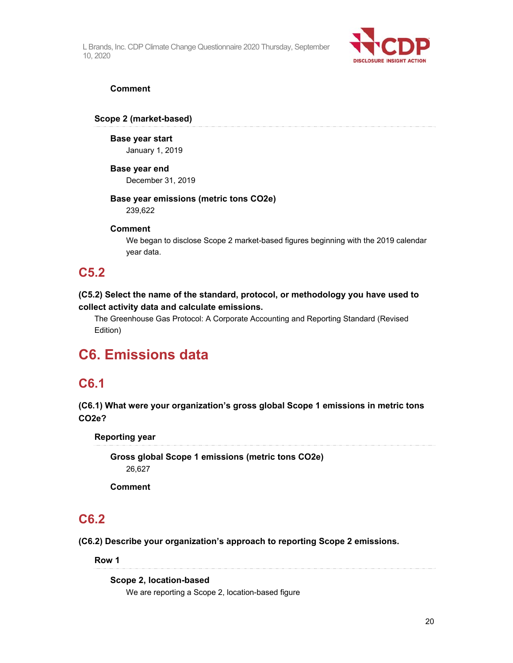

#### **Comment**

#### **Scope 2 (market-based)**

#### **Base year start**

January 1, 2019

#### **Base year end**

December 31, 2019

### **Base year emissions (metric tons CO2e)**

239,622

### **Comment**

We began to disclose Scope 2 market-based figures beginning with the 2019 calendar year data.

### **C5.2**

### **(C5.2) Select the name of the standard, protocol, or methodology you have used to collect activity data and calculate emissions.**

The Greenhouse Gas Protocol: A Corporate Accounting and Reporting Standard (Revised Edition)

# **C6. Emissions data**

### **C6.1**

**(C6.1) What were your organization's gross global Scope 1 emissions in metric tons CO2e?** 

**Reporting year** 

**Gross global Scope 1 emissions (metric tons CO2e)**  26,627

**Comment** 

### **C6.2**

**(C6.2) Describe your organization's approach to reporting Scope 2 emissions.** 

**Row 1** 

#### **Scope 2, location-based**

We are reporting a Scope 2, location-based figure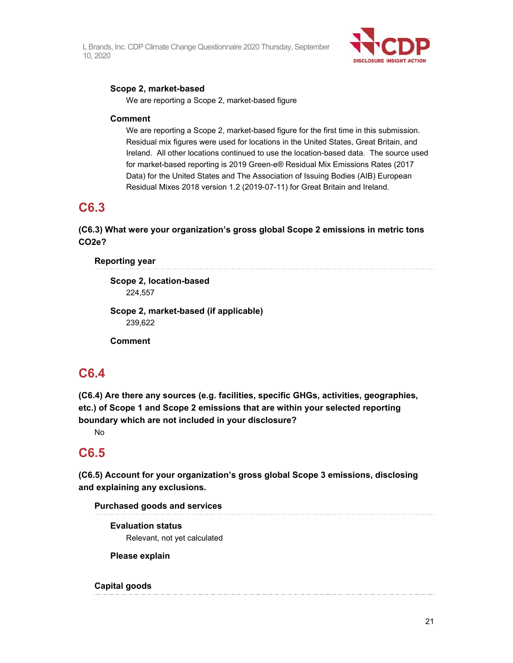

### **Scope 2, market-based**

We are reporting a Scope 2, market-based figure

### **Comment**

We are reporting a Scope 2, market-based figure for the first time in this submission. Residual mix figures were used for locations in the United States, Great Britain, and Ireland. All other locations continued to use the location-based data. The source used for market-based reporting is 2019 Green-e® Residual Mix Emissions Rates (2017 Data) for the United States and The Association of Issuing Bodies (AIB) European Residual Mixes 2018 version 1.2 (2019-07-11) for Great Britain and Ireland.

## **C6.3**

**(C6.3) What were your organization's gross global Scope 2 emissions in metric tons CO2e?** 

**Reporting year** 

**Scope 2, location-based**  224,557

**Scope 2, market-based (if applicable)**  239,622

**Comment** 

## **C6.4**

**(C6.4) Are there any sources (e.g. facilities, specific GHGs, activities, geographies, etc.) of Scope 1 and Scope 2 emissions that are within your selected reporting boundary which are not included in your disclosure?** 

No

## **C6.5**

**(C6.5) Account for your organization's gross global Scope 3 emissions, disclosing and explaining any exclusions.** 

### **Purchased goods and services**

**Evaluation status**  Relevant, not yet calculated

**Please explain** 

### **Capital goods**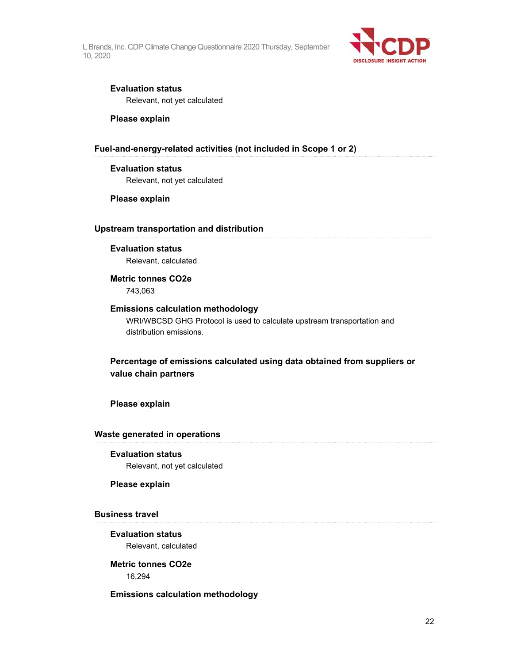

#### **Evaluation status**

Relevant, not yet calculated

#### **Please explain**

#### **Fuel-and-energy-related activities (not included in Scope 1 or 2)**

### **Evaluation status**

Relevant, not yet calculated

#### **Please explain**

#### **Upstream transportation and distribution**

#### **Evaluation status**

Relevant, calculated

### **Metric tonnes CO2e**

743,063

#### **Emissions calculation methodology**

WRI/WBCSD GHG Protocol is used to calculate upstream transportation and distribution emissions.

### **Percentage of emissions calculated using data obtained from suppliers or value chain partners**

**Please explain** 

#### **Waste generated in operations**

#### **Evaluation status**

Relevant, not yet calculated

#### **Please explain**

#### **Business travel**

### **Evaluation status**  Relevant, calculated

**Metric tonnes CO2e**  16,294

#### **Emissions calculation methodology**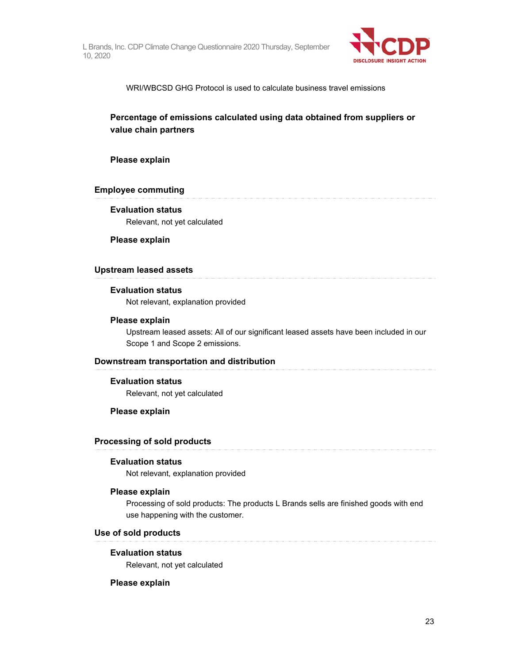

WRI/WBCSD GHG Protocol is used to calculate business travel emissions

### **Percentage of emissions calculated using data obtained from suppliers or value chain partners**

#### **Please explain**

#### **Employee commuting**

### **Evaluation status**

Relevant, not yet calculated

#### **Please explain**

#### **Upstream leased assets**

### **Evaluation status**

Not relevant, explanation provided

#### **Please explain**

Upstream leased assets: All of our significant leased assets have been included in our Scope 1 and Scope 2 emissions.

#### **Downstream transportation and distribution**

#### **Evaluation status**

Relevant, not yet calculated

#### **Please explain**

#### **Processing of sold products**

#### **Evaluation status**

Not relevant, explanation provided

#### **Please explain**

Processing of sold products: The products L Brands sells are finished goods with end use happening with the customer.

#### **Use of sold products**

#### **Evaluation status**

Relevant, not yet calculated

#### **Please explain**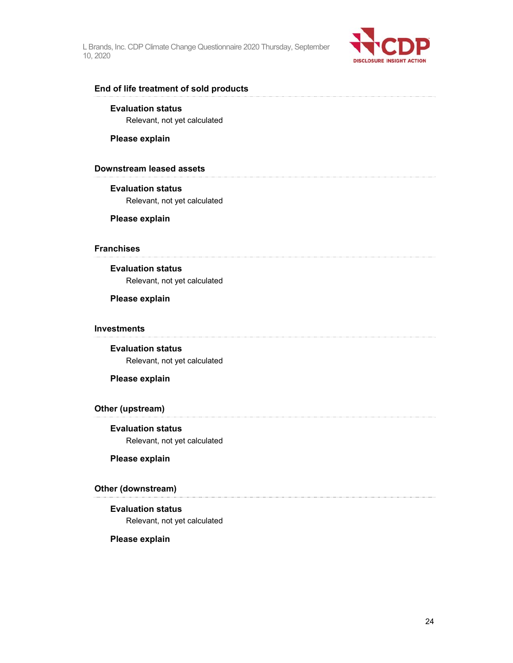

#### **End of life treatment of sold products**

#### **Evaluation status**

Relevant, not yet calculated

#### **Please explain**

#### **Downstream leased assets**

#### **Evaluation status**

Relevant, not yet calculated

#### **Please explain**

### **Franchises**

### **Evaluation status**

Relevant, not yet calculated

### **Please explain**

#### **Investments**

**Evaluation status**  Relevant, not yet calculated

#### **Please explain**

#### **Other (upstream)**

# **Evaluation status**

Relevant, not yet calculated

#### **Please explain**

### **Other (downstream)**

#### **Evaluation status**

Relevant, not yet calculated

#### **Please explain**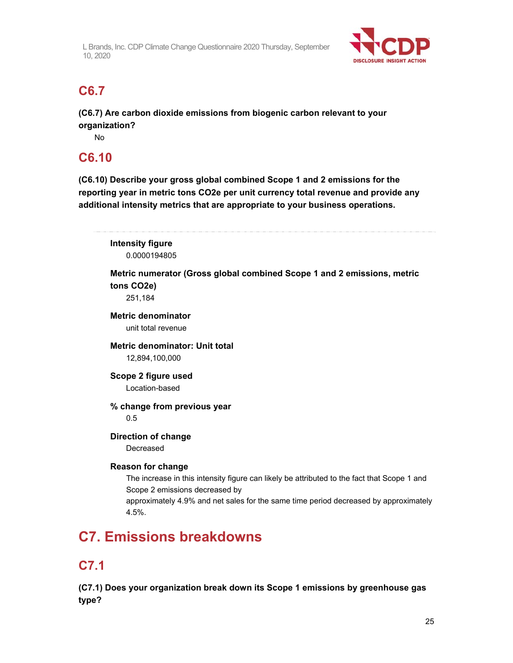

# **C6.7**

**(C6.7) Are carbon dioxide emissions from biogenic carbon relevant to your organization?** 

No

# **C6.10**

**(C6.10) Describe your gross global combined Scope 1 and 2 emissions for the reporting year in metric tons CO2e per unit currency total revenue and provide any additional intensity metrics that are appropriate to your business operations.** 

**Intensity figure**  0.0000194805

**Metric numerator (Gross global combined Scope 1 and 2 emissions, metric tons CO2e)** 

251,184

**Metric denominator**  unit total revenue

**Metric denominator: Unit total**  12,894,100,000

**Scope 2 figure used**  Location-based

**% change from previous year**  0.5

**Direction of change** 

Decreased

### **Reason for change**

The increase in this intensity figure can likely be attributed to the fact that Scope 1 and Scope 2 emissions decreased by approximately 4.9% and net sales for the same time period decreased by approximately 4.5%.

# **C7. Emissions breakdowns**

# **C7.1**

**(C7.1) Does your organization break down its Scope 1 emissions by greenhouse gas type?**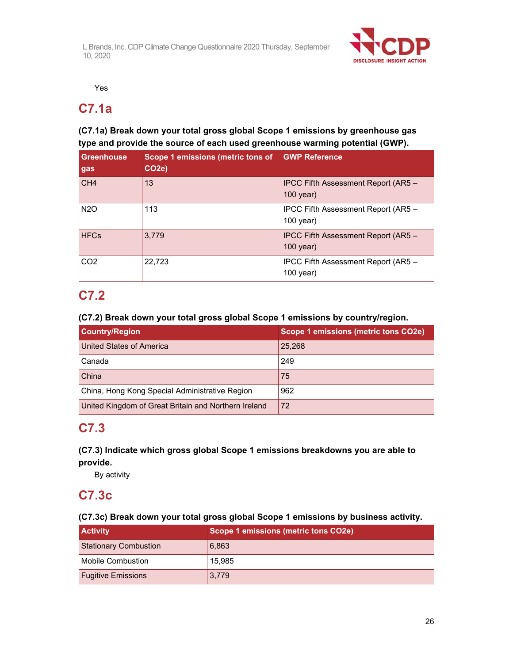

Yes

### **C7.1a**

### **(C7.1a) Break down your total gross global Scope 1 emissions by greenhouse gas type and provide the source of each used greenhouse warming potential (GWP).**

| <b>Greenhouse</b><br>gas | Scope 1 emissions (metric tons of<br>CO <sub>2</sub> e) | <b>GWP Reference</b>                               |
|--------------------------|---------------------------------------------------------|----------------------------------------------------|
| CH <sub>4</sub>          | 13                                                      | IPCC Fifth Assessment Report (AR5 -<br>$100$ year) |
| N <sub>2</sub> O         | 113                                                     | IPCC Fifth Assessment Report (AR5 -<br>$100$ year) |
| <b>HFCs</b>              | 3.779                                                   | IPCC Fifth Assessment Report (AR5 -<br>$100$ year) |
| CO <sub>2</sub>          | 22,723                                                  | IPCC Fifth Assessment Report (AR5 -<br>$100$ year) |

### **C7.2**

### **(C7.2) Break down your total gross global Scope 1 emissions by country/region.**

| <b>Country/Region</b>                                | Scope 1 emissions (metric tons CO2e) |
|------------------------------------------------------|--------------------------------------|
| United States of America                             | 25,268                               |
| Canada                                               | 249                                  |
| China                                                | 75                                   |
| China, Hong Kong Special Administrative Region       | 962                                  |
| United Kingdom of Great Britain and Northern Ireland | 72                                   |

# **C7.3**

### **(C7.3) Indicate which gross global Scope 1 emissions breakdowns you are able to provide.**

By activity

### **C7.3c**

### **(C7.3c) Break down your total gross global Scope 1 emissions by business activity.**

| <b>Activity</b>              | Scope 1 emissions (metric tons CO2e) |
|------------------------------|--------------------------------------|
| <b>Stationary Combustion</b> | 6,863                                |
| <b>Mobile Combustion</b>     | 15.985                               |
| <b>Fugitive Emissions</b>    | 3,779                                |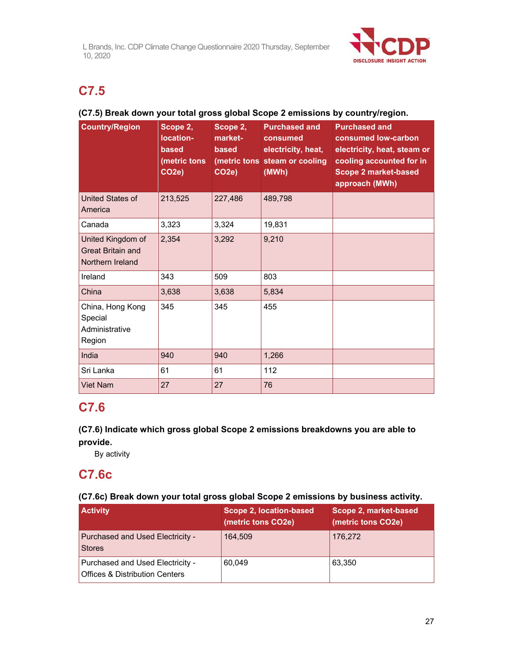

# **C7.5**

### **(C7.5) Break down your total gross global Scope 2 emissions by country/region.**

| <b>Country/Region</b>                                             | Scope 2.<br>location-<br>based<br>(metric tons<br>CO <sub>2e</sub> ) | Scope 2,<br>market-<br>based<br>CO <sub>2e</sub> ) | <b>Purchased and</b><br>consumed<br>electricity, heat,<br>(metric tons steam or cooling<br>(MWh) | <b>Purchased and</b><br>consumed low-carbon<br>electricity, heat, steam or<br>cooling accounted for in<br><b>Scope 2 market-based</b><br>approach (MWh) |
|-------------------------------------------------------------------|----------------------------------------------------------------------|----------------------------------------------------|--------------------------------------------------------------------------------------------------|---------------------------------------------------------------------------------------------------------------------------------------------------------|
| <b>United States of</b><br>America                                | 213,525                                                              | 227,486                                            | 489,798                                                                                          |                                                                                                                                                         |
| Canada                                                            | 3,323                                                                | 3,324                                              | 19,831                                                                                           |                                                                                                                                                         |
| United Kingdom of<br><b>Great Britain and</b><br>Northern Ireland | 2,354                                                                | 3,292                                              | 9,210                                                                                            |                                                                                                                                                         |
| Ireland                                                           | 343                                                                  | 509                                                | 803                                                                                              |                                                                                                                                                         |
| China                                                             | 3,638                                                                | 3,638                                              | 5,834                                                                                            |                                                                                                                                                         |
| China, Hong Kong<br>Special<br>Administrative<br>Region           | 345                                                                  | 345                                                | 455                                                                                              |                                                                                                                                                         |
| India                                                             | 940                                                                  | 940                                                | 1,266                                                                                            |                                                                                                                                                         |
| Sri Lanka                                                         | 61                                                                   | 61                                                 | 112                                                                                              |                                                                                                                                                         |
| <b>Viet Nam</b>                                                   | 27                                                                   | 27                                                 | 76                                                                                               |                                                                                                                                                         |

## **C7.6**

### **(C7.6) Indicate which gross global Scope 2 emissions breakdowns you are able to provide.**

By activity

# **C7.6c**

### **(C7.6c) Break down your total gross global Scope 2 emissions by business activity.**

| <b>Activity</b>                                                               | Scope 2, location-based<br>(metric tons CO2e) | Scope 2, market-based<br>(metric tons CO2e) |
|-------------------------------------------------------------------------------|-----------------------------------------------|---------------------------------------------|
| Purchased and Used Electricity -<br><b>Stores</b>                             | 164.509                                       | 176,272                                     |
| Purchased and Used Electricity -<br><b>Offices &amp; Distribution Centers</b> | 60.049                                        | 63.350                                      |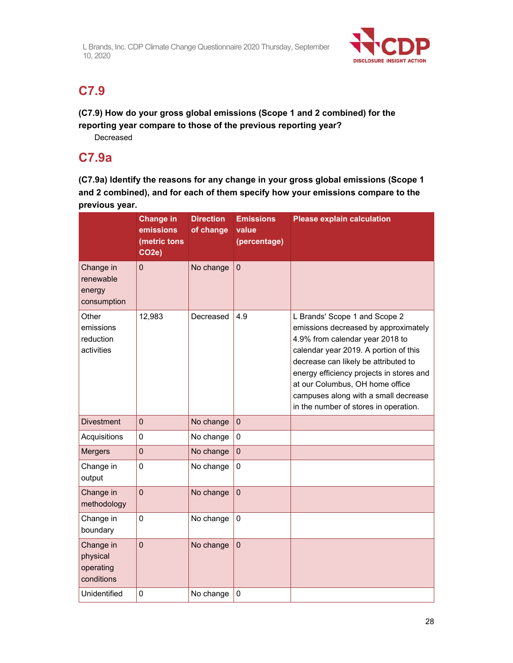

# **C7.9**

**(C7.9) How do your gross global emissions (Scope 1 and 2 combined) for the reporting year compare to those of the previous reporting year?** Decreased

**C7.9a** 

**(C7.9a) Identify the reasons for any change in your gross global emissions (Scope 1 and 2 combined), and for each of them specify how your emissions compare to the previous year.** 

|                                                  | <b>Change in</b><br>emissions<br>(metric tons<br>CO <sub>2</sub> e) | <b>Direction</b><br>of change | <b>Emissions</b><br>value<br>(percentage) | <b>Please explain calculation</b>                                                                                                                                                                                                                                                                                                                         |
|--------------------------------------------------|---------------------------------------------------------------------|-------------------------------|-------------------------------------------|-----------------------------------------------------------------------------------------------------------------------------------------------------------------------------------------------------------------------------------------------------------------------------------------------------------------------------------------------------------|
| Change in<br>renewable<br>energy<br>consumption  | $\overline{0}$                                                      | No change                     | $\mathbf 0$                               |                                                                                                                                                                                                                                                                                                                                                           |
| Other<br>emissions<br>reduction<br>activities    | 12,983                                                              | Decreased                     | 4.9                                       | L Brands' Scope 1 and Scope 2<br>emissions decreased by approximately<br>4.9% from calendar year 2018 to<br>calendar year 2019. A portion of this<br>decrease can likely be attributed to<br>energy efficiency projects in stores and<br>at our Columbus, OH home office<br>campuses along with a small decrease<br>in the number of stores in operation. |
| <b>Divestment</b>                                | $\mathbf 0$                                                         | No change                     | $\mathbf 0$                               |                                                                                                                                                                                                                                                                                                                                                           |
| Acquisitions                                     | 0                                                                   | No change                     | $\mathbf 0$                               |                                                                                                                                                                                                                                                                                                                                                           |
| <b>Mergers</b>                                   | $\mathbf 0$                                                         | No change                     | $\mathbf 0$                               |                                                                                                                                                                                                                                                                                                                                                           |
| Change in<br>output                              | 0                                                                   | No change                     | $\Omega$                                  |                                                                                                                                                                                                                                                                                                                                                           |
| Change in<br>methodology                         | $\mathbf 0$                                                         | No change                     | $\mathbf 0$                               |                                                                                                                                                                                                                                                                                                                                                           |
| Change in<br>boundary                            | 0                                                                   | No change                     | $\mathbf 0$                               |                                                                                                                                                                                                                                                                                                                                                           |
| Change in<br>physical<br>operating<br>conditions | $\overline{0}$                                                      | No change                     | $\overline{0}$                            |                                                                                                                                                                                                                                                                                                                                                           |
| Unidentified                                     | 0                                                                   | No change                     | $\mathbf 0$                               |                                                                                                                                                                                                                                                                                                                                                           |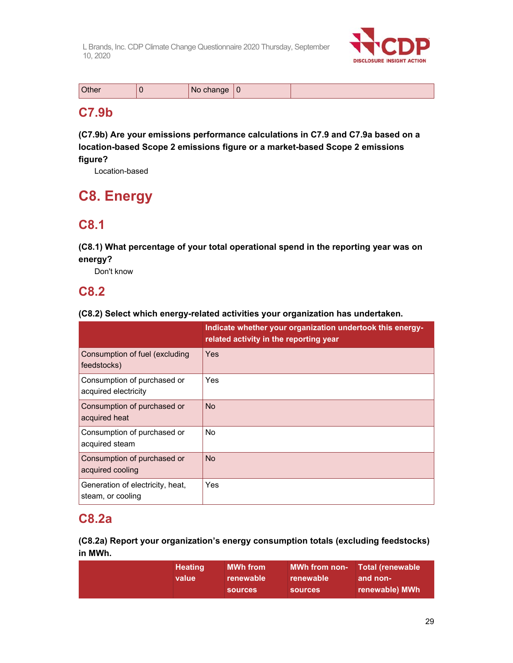

| Other<br>'No change |  |
|---------------------|--|
|---------------------|--|

# **C7.9b**

**(C7.9b) Are your emissions performance calculations in C7.9 and C7.9a based on a location-based Scope 2 emissions figure or a market-based Scope 2 emissions figure?** 

Location-based

# **C8. Energy**

# **C8.1**

**(C8.1) What percentage of your total operational spend in the reporting year was on energy?** 

Don't know

### **C8.2**

### **(C8.2) Select which energy-related activities your organization has undertaken.**

|                                                       | Indicate whether your organization undertook this energy-<br>related activity in the reporting year |
|-------------------------------------------------------|-----------------------------------------------------------------------------------------------------|
| Consumption of fuel (excluding<br>feedstocks)         | Yes                                                                                                 |
| Consumption of purchased or<br>acquired electricity   | Yes                                                                                                 |
| Consumption of purchased or<br>acquired heat          | <b>No</b>                                                                                           |
| Consumption of purchased or<br>acquired steam         | No.                                                                                                 |
| Consumption of purchased or<br>acquired cooling       | <b>No</b>                                                                                           |
| Generation of electricity, heat,<br>steam, or cooling | Yes                                                                                                 |

# **C8.2a**

### **(C8.2a) Report your organization's energy consumption totals (excluding feedstocks) in MWh.**

| <b>Heating</b><br>value | $\mathsf{I}\mathsf{MWh}$ from $\mathsf{I}'$<br>renewable<br><b>sources</b> | MWh from non- Total (renewable<br>renewable<br><b>sources</b> | and non-<br>renewable) MWh |
|-------------------------|----------------------------------------------------------------------------|---------------------------------------------------------------|----------------------------|
|                         |                                                                            |                                                               |                            |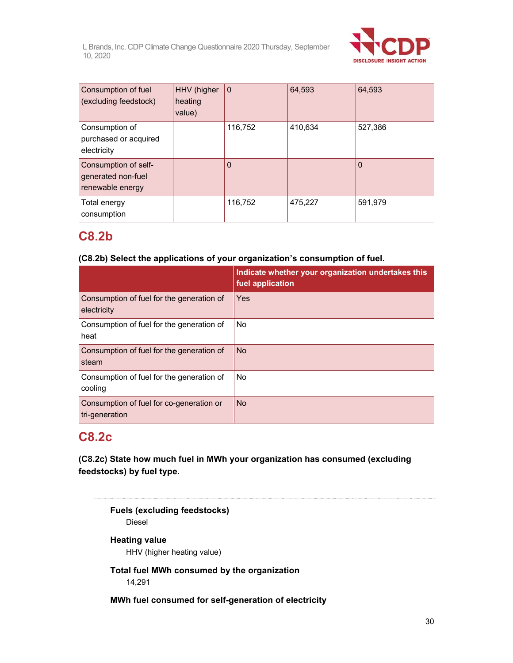

| Consumption of fuel<br>(excluding feedstock)                   | HHV (higher<br>heating<br>value) | $\mathbf 0$ | 64,593  | 64,593  |
|----------------------------------------------------------------|----------------------------------|-------------|---------|---------|
| Consumption of<br>purchased or acquired<br>electricity         |                                  | 116,752     | 410,634 | 527,386 |
| Consumption of self-<br>generated non-fuel<br>renewable energy |                                  | 0           |         |         |
| Total energy<br>consumption                                    |                                  | 116,752     | 475,227 | 591,979 |

## **C8.2b**

### **(C8.2b) Select the applications of your organization's consumption of fuel.**

|                                                            | Indicate whether your organization undertakes this<br>fuel application |
|------------------------------------------------------------|------------------------------------------------------------------------|
| Consumption of fuel for the generation of<br>electricity   | Yes                                                                    |
| Consumption of fuel for the generation of<br>heat          | <b>No</b>                                                              |
| Consumption of fuel for the generation of<br>steam         | <b>No</b>                                                              |
| Consumption of fuel for the generation of<br>cooling       | <b>No</b>                                                              |
| Consumption of fuel for co-generation or<br>tri-generation | <b>No</b>                                                              |

## **C8.2c**

**(C8.2c) State how much fuel in MWh your organization has consumed (excluding feedstocks) by fuel type.** 

**Fuels (excluding feedstocks)**  Diesel **Heating value**  HHV (higher heating value) **Total fuel MWh consumed by the organization**  14,291 **MWh fuel consumed for self-generation of electricity**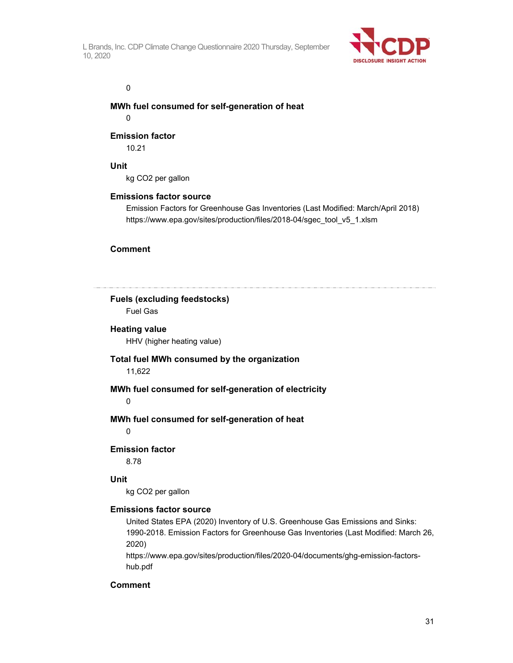

#### 0

### **MWh fuel consumed for self-generation of heat**

0

### **Emission factor**

10.21

### **Unit**

kg CO2 per gallon

#### **Emissions factor source**

Emission Factors for Greenhouse Gas Inventories (Last Modified: March/April 2018) https://www.epa.gov/sites/production/files/2018-04/sgec\_tool\_v5\_1.xlsm

### **Comment**

**Fuels (excluding feedstocks)**  Fuel Gas **Heating value**  HHV (higher heating value) **Total fuel MWh consumed by the organization**  11,622 **MWh fuel consumed for self-generation of electricity**  0 **MWh fuel consumed for self-generation of heat**  0 **Emission factor**  8.78 **Unit**  kg CO2 per gallon **Emissions factor source**  United States EPA (2020) Inventory of U.S. Greenhouse Gas Emissions and Sinks: 1990-2018. Emission Factors for Greenhouse Gas Inventories (Last Modified: March 26, 2020) https://www.epa.gov/sites/production/files/2020-04/documents/ghg-emission-factors-

hub.pdf

#### **Comment**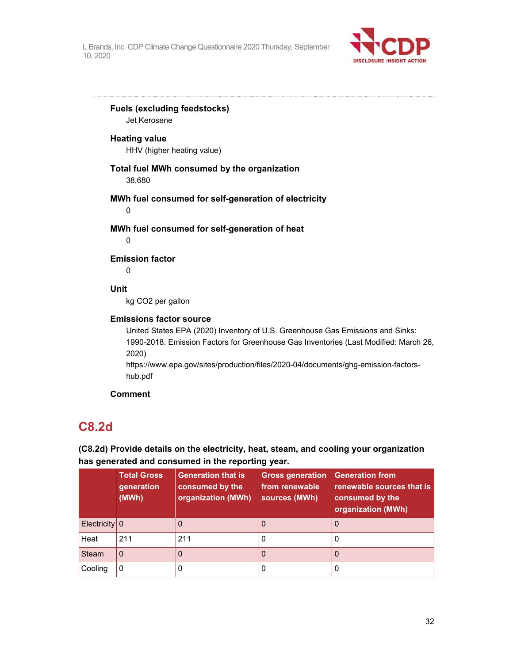

**Fuels (excluding feedstocks)** 

Jet Kerosene

### **Heating value**

HHV (higher heating value)

### **Total fuel MWh consumed by the organization**

38,680

### **MWh fuel consumed for self-generation of electricity**

0

### **MWh fuel consumed for self-generation of heat**

0

### **Emission factor**

 $\Omega$ 

### **Unit**

kg CO2 per gallon

### **Emissions factor source**

United States EPA (2020) Inventory of U.S. Greenhouse Gas Emissions and Sinks: 1990-2018. Emission Factors for Greenhouse Gas Inventories (Last Modified: March 26, 2020)

https://www.epa.gov/sites/production/files/2020-04/documents/ghg-emission-factorshub.pdf

### **Comment**

# **C8.2d**

### **(C8.2d) Provide details on the electricity, heat, steam, and cooling your organization has generated and consumed in the reporting year.**

|                 | <b>Total Gross</b><br>generation<br>(MWh) | <b>Generation that is</b><br>consumed by the<br>organization (MWh) | <b>Gross generation</b><br>from renewable<br>sources (MWh) | <b>Generation from</b><br>renewable sources that is<br>consumed by the<br>organization (MWh) |
|-----------------|-------------------------------------------|--------------------------------------------------------------------|------------------------------------------------------------|----------------------------------------------------------------------------------------------|
| $Electricity$ 0 |                                           |                                                                    |                                                            | 0                                                                                            |
| Heat            | 211                                       | 211                                                                |                                                            | O                                                                                            |
| <b>Steam</b>    | 0                                         |                                                                    |                                                            | 0                                                                                            |
| Cooling         | 0                                         |                                                                    |                                                            | U                                                                                            |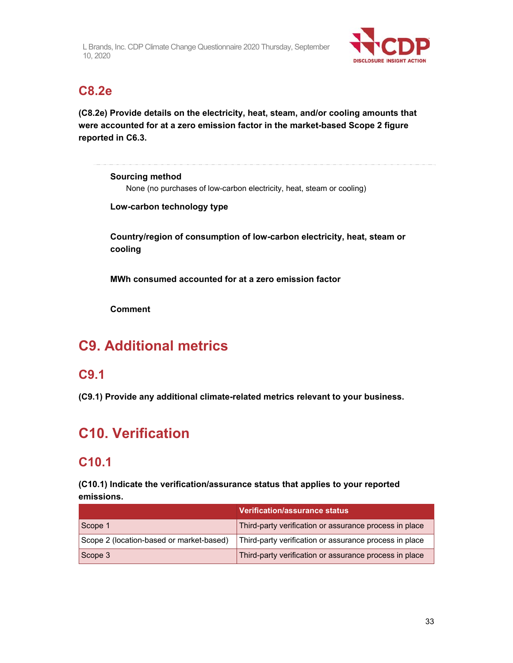

# **C8.2e**

**(C8.2e) Provide details on the electricity, heat, steam, and/or cooling amounts that were accounted for at a zero emission factor in the market-based Scope 2 figure reported in C6.3.** 

**Sourcing method**  None (no purchases of low-carbon electricity, heat, steam or cooling)

**Low-carbon technology type** 

**Country/region of consumption of low-carbon electricity, heat, steam or cooling** 

**MWh consumed accounted for at a zero emission factor** 

**Comment** 

# **C9. Additional metrics**

## **C9.1**

**(C9.1) Provide any additional climate-related metrics relevant to your business.** 

# **C10. Verification**

# **C10.1**

**(C10.1) Indicate the verification/assurance status that applies to your reported emissions.** 

|                                          | <b>Verification/assurance status</b>                   |
|------------------------------------------|--------------------------------------------------------|
| Scope 1                                  | Third-party verification or assurance process in place |
| Scope 2 (location-based or market-based) | Third-party verification or assurance process in place |
| Scope 3                                  | Third-party verification or assurance process in place |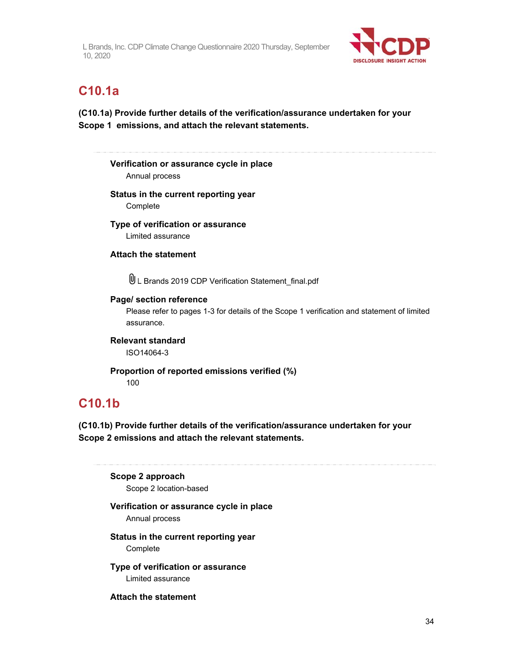

# **C10.1a**

### **(C10.1a) Provide further details of the verification/assurance undertaken for your Scope 1 emissions, and attach the relevant statements.**

### **Verification or assurance cycle in place**  Annual process

**Status in the current reporting year** 

Complete

### **Type of verification or assurance**  Limited assurance

**Attach the statement** 

L Brands 2019 CDP Verification Statement\_final.pdf

### **Page/ section reference**

Please refer to pages 1-3 for details of the Scope 1 verification and statement of limited assurance.

**Relevant standard**  ISO14064-3

#### **Proportion of reported emissions verified (%)**  100

## **C10.1b**

**(C10.1b) Provide further details of the verification/assurance undertaken for your Scope 2 emissions and attach the relevant statements.** 

**Scope 2 approach**  Scope 2 location-based

### **Verification or assurance cycle in place**

Annual process

### **Status in the current reporting year**  Complete

### **Type of verification or assurance**  Limited assurance

**Attach the statement**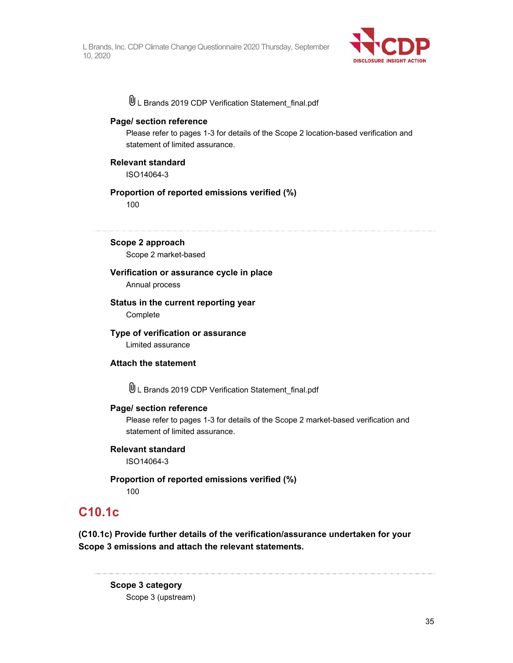

L Brands 2019 CDP Verification Statement\_final.pdf

#### **Page/ section reference**

Please refer to pages 1-3 for details of the Scope 2 location-based verification and statement of limited assurance.

#### **Relevant standard**

ISO14064-3

### **Proportion of reported emissions verified (%)**

100

**Scope 2 approach** 

Scope 2 market-based

#### **Verification or assurance cycle in place**

Annual process

### **Status in the current reporting year**

**Complete** 

#### **Type of verification or assurance**

Limited assurance

### **Attach the statement**

L Brands 2019 CDP Verification Statement\_final.pdf

#### **Page/ section reference**

Please refer to pages 1-3 for details of the Scope 2 market-based verification and statement of limited assurance.

#### **Relevant standard**

ISO14064-3

#### **Proportion of reported emissions verified (%)**  100

### **C10.1c**

**(C10.1c) Provide further details of the verification/assurance undertaken for your Scope 3 emissions and attach the relevant statements.** 

**Scope 3 category**  Scope 3 (upstream)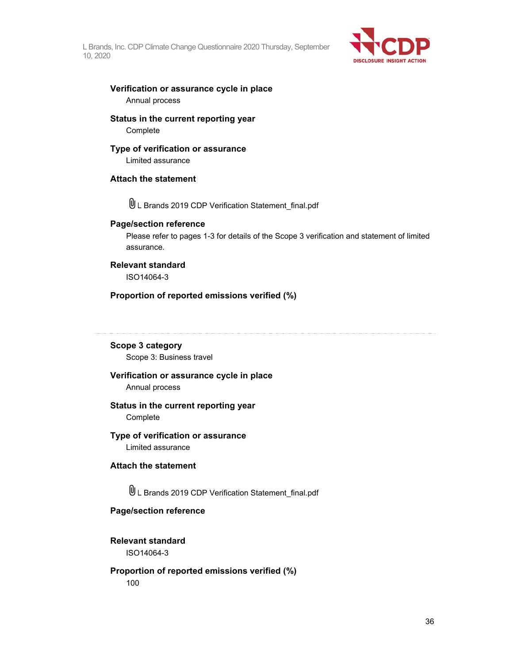

#### **Verification or assurance cycle in place**  Annual process

### **Status in the current reporting year Complete**

### **Type of verification or assurance**

Limited assurance

### **Attach the statement**

L Brands 2019 CDP Verification Statement\_final.pdf

#### **Page/section reference**

Please refer to pages 1-3 for details of the Scope 3 verification and statement of limited assurance.

### **Relevant standard**

ISO14064-3

### **Proportion of reported emissions verified (%)**

### **Scope 3 category**

Scope 3: Business travel

### **Verification or assurance cycle in place**

Annual process

#### **Status in the current reporting year Complete**

#### **Type of verification or assurance**  Limited assurance

**Attach the statement** 

L Brands 2019 CDP Verification Statement\_final.pdf

#### **Page/section reference**

### **Relevant standard**

ISO14064-3

### **Proportion of reported emissions verified (%)**  100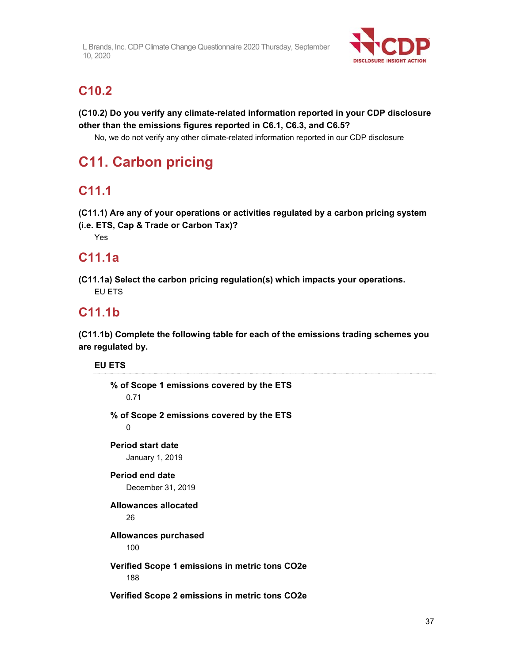

# **C10.2**

**(C10.2) Do you verify any climate-related information reported in your CDP disclosure other than the emissions figures reported in C6.1, C6.3, and C6.5?** 

No, we do not verify any other climate-related information reported in our CDP disclosure

# **C11. Carbon pricing**

# **C11.1**

**(C11.1) Are any of your operations or activities regulated by a carbon pricing system** 

**(i.e. ETS, Cap & Trade or Carbon Tax)?**  Yes

# **C11.1a**

**(C11.1a) Select the carbon pricing regulation(s) which impacts your operations.**  EU ETS

# **C11.1b**

**(C11.1b) Complete the following table for each of the emissions trading schemes you are regulated by.** 

**EU ETS** 

| % of Scope 1 emissions covered by the ETS<br>0.71     |  |  |  |
|-------------------------------------------------------|--|--|--|
| % of Scope 2 emissions covered by the ETS<br>0        |  |  |  |
| <b>Period start date</b><br>January 1, 2019           |  |  |  |
| <b>Period end date</b><br>December 31, 2019           |  |  |  |
| Allowances allocated<br>26                            |  |  |  |
| <b>Allowances purchased</b><br>100                    |  |  |  |
| Verified Scope 1 emissions in metric tons CO2e<br>188 |  |  |  |
| Verified Scope 2 emissions in metric tons CO2e        |  |  |  |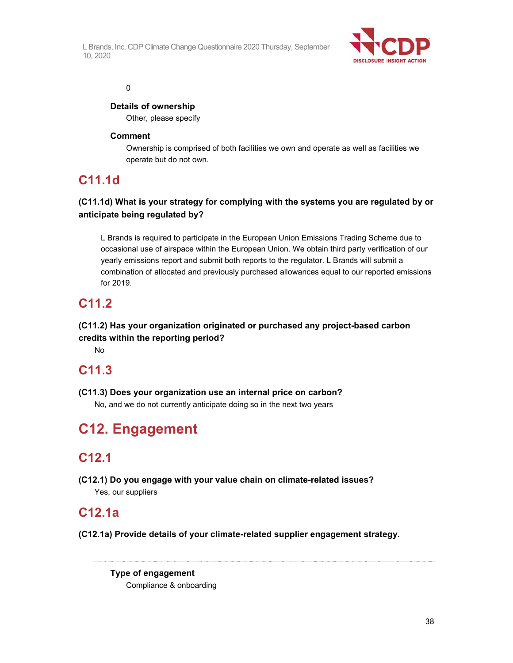

#### 0

### **Details of ownership**

Other, please specify

### **Comment**

Ownership is comprised of both facilities we own and operate as well as facilities we operate but do not own.

## **C11.1d**

### **(C11.1d) What is your strategy for complying with the systems you are regulated by or anticipate being regulated by?**

L Brands is required to participate in the European Union Emissions Trading Scheme due to occasional use of airspace within the European Union. We obtain third party verification of our yearly emissions report and submit both reports to the regulator. L Brands will submit a combination of allocated and previously purchased allowances equal to our reported emissions for 2019.

## **C11.2**

### **(C11.2) Has your organization originated or purchased any project-based carbon credits within the reporting period?**

No

## **C11.3**

**(C11.3) Does your organization use an internal price on carbon?**

No, and we do not currently anticipate doing so in the next two years

# **C12. Engagement**

## **C12.1**

**(C12.1) Do you engage with your value chain on climate-related issues?**  Yes, our suppliers

### **C12.1a**

**(C12.1a) Provide details of your climate-related supplier engagement strategy.** 

**Type of engagement**  Compliance & onboarding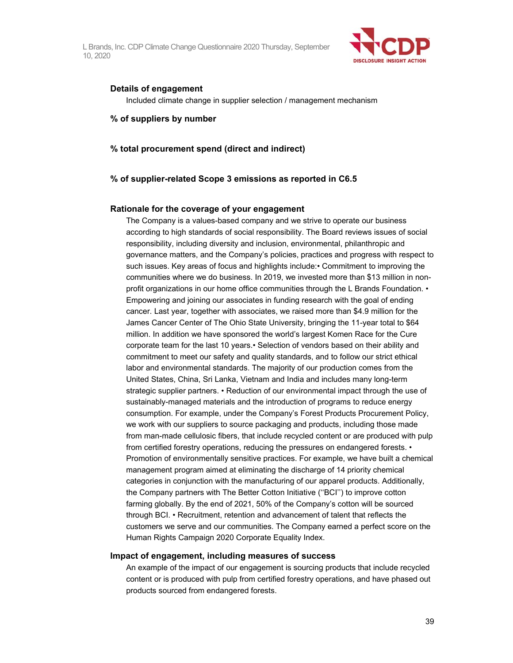

#### **Details of engagement**

Included climate change in supplier selection / management mechanism

#### **% of suppliers by number**

#### **% total procurement spend (direct and indirect)**

#### **% of supplier-related Scope 3 emissions as reported in C6.5**

#### **Rationale for the coverage of your engagement**

The Company is a values-based company and we strive to operate our business according to high standards of social responsibility. The Board reviews issues of social responsibility, including diversity and inclusion, environmental, philanthropic and governance matters, and the Company's policies, practices and progress with respect to such issues. Key areas of focus and highlights include:• Commitment to improving the communities where we do business. In 2019, we invested more than \$13 million in nonprofit organizations in our home office communities through the L Brands Foundation. • Empowering and joining our associates in funding research with the goal of ending cancer. Last year, together with associates, we raised more than \$4.9 million for the James Cancer Center of The Ohio State University, bringing the 11-year total to \$64 million. In addition we have sponsored the world's largest Komen Race for the Cure corporate team for the last 10 years.• Selection of vendors based on their ability and commitment to meet our safety and quality standards, and to follow our strict ethical labor and environmental standards. The majority of our production comes from the United States, China, Sri Lanka, Vietnam and India and includes many long-term strategic supplier partners. • Reduction of our environmental impact through the use of sustainably-managed materials and the introduction of programs to reduce energy consumption. For example, under the Company's Forest Products Procurement Policy, we work with our suppliers to source packaging and products, including those made from man-made cellulosic fibers, that include recycled content or are produced with pulp from certified forestry operations, reducing the pressures on endangered forests. • Promotion of environmentally sensitive practices. For example, we have built a chemical management program aimed at eliminating the discharge of 14 priority chemical categories in conjunction with the manufacturing of our apparel products. Additionally, the Company partners with The Better Cotton Initiative (''BCI'') to improve cotton farming globally. By the end of 2021, 50% of the Company's cotton will be sourced through BCI. • Recruitment, retention and advancement of talent that reflects the customers we serve and our communities. The Company earned a perfect score on the Human Rights Campaign 2020 Corporate Equality Index.

#### **Impact of engagement, including measures of success**

An example of the impact of our engagement is sourcing products that include recycled content or is produced with pulp from certified forestry operations, and have phased out products sourced from endangered forests.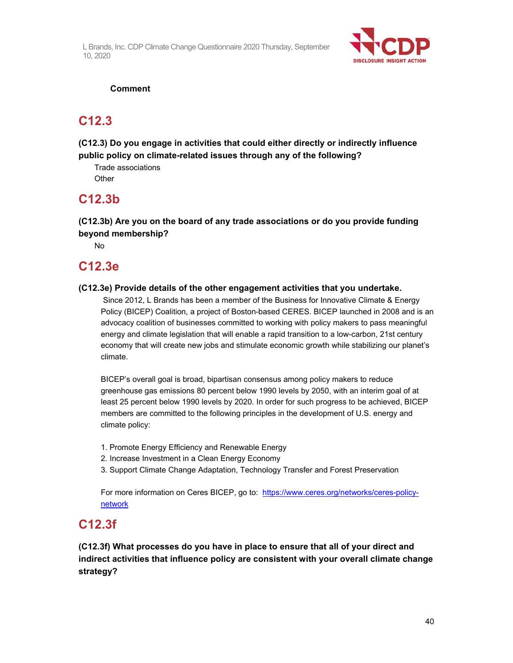

### **Comment**

### **C12.3**

**(C12.3) Do you engage in activities that could either directly or indirectly influence public policy on climate-related issues through any of the following?** 

Trade associations **Other** 

### **C12.3b**

**(C12.3b) Are you on the board of any trade associations or do you provide funding beyond membership?** 

No

### **C12.3e**

### **(C12.3e) Provide details of the other engagement activities that you undertake.**

 Since 2012, L Brands has been a member of the Business for Innovative Climate & Energy Policy (BICEP) Coalition, a project of Boston-based CERES. BICEP launched in 2008 and is an advocacy coalition of businesses committed to working with policy makers to pass meaningful energy and climate legislation that will enable a rapid transition to a low-carbon, 21st century economy that will create new jobs and stimulate economic growth while stabilizing our planet's climate.

BICEP's overall goal is broad, bipartisan consensus among policy makers to reduce greenhouse gas emissions 80 percent below 1990 levels by 2050, with an interim goal of at least 25 percent below 1990 levels by 2020. In order for such progress to be achieved, BICEP members are committed to the following principles in the development of U.S. energy and climate policy:

- 1. Promote Energy Efficiency and Renewable Energy
- 2. Increase Investment in a Clean Energy Economy
- 3. Support Climate Change Adaptation, Technology Transfer and Forest Preservation

For more information on Ceres BICEP, go to: https://www.ceres.org/networks/ceres-policynetwork

## **C12.3f**

**(C12.3f) What processes do you have in place to ensure that all of your direct and indirect activities that influence policy are consistent with your overall climate change strategy?**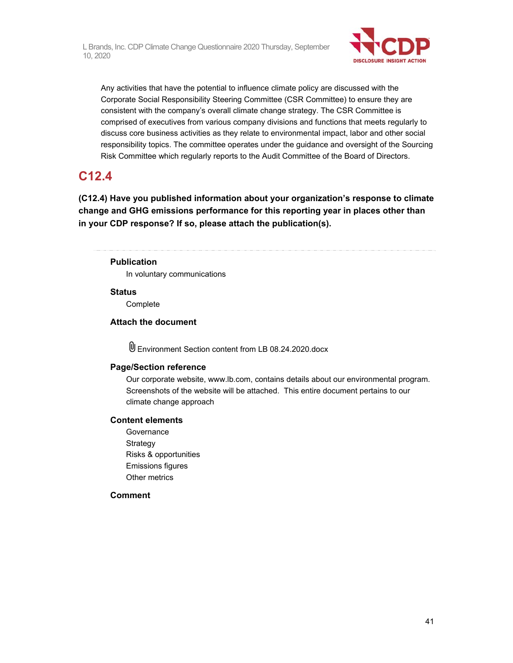

Any activities that have the potential to influence climate policy are discussed with the Corporate Social Responsibility Steering Committee (CSR Committee) to ensure they are consistent with the company's overall climate change strategy. The CSR Committee is comprised of executives from various company divisions and functions that meets regularly to discuss core business activities as they relate to environmental impact, labor and other social responsibility topics. The committee operates under the guidance and oversight of the Sourcing Risk Committee which regularly reports to the Audit Committee of the Board of Directors.

# **C12.4**

**(C12.4) Have you published information about your organization's response to climate change and GHG emissions performance for this reporting year in places other than in your CDP response? If so, please attach the publication(s).** 

### **Publication**

In voluntary communications

#### **Status**

Complete

### **Attach the document**

Environment Section content from LB 08.24.2020.docx

### **Page/Section reference**

Our corporate website, www.lb.com, contains details about our environmental program. Screenshots of the website will be attached. This entire document pertains to our climate change approach

#### **Content elements**

**Governance** Strategy Risks & opportunities Emissions figures Other metrics

#### **Comment**